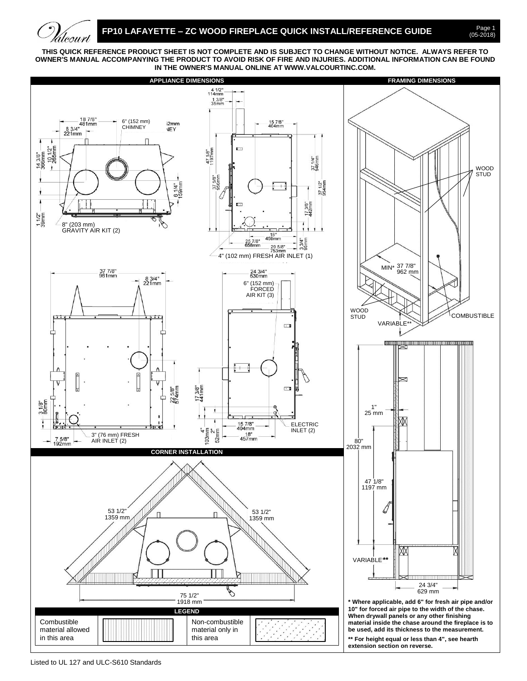## **FP10 LAFAYETTE - ZC WOOD FIREPLACE QUICK INSTALL/REFERENCE GUIDE**

Page 1<br>(05-2018)

**THIS QUICK REFERENCE PRODUCT SHEET IS NOT COMPLETE AND IS SUBJECT TO CHANGE WITHOUT NOTICE. ALWAYS REFER TO OWNER'S MANUAL ACCOMPANYING THE PRODUCT TO AVOID RISK OF FIRE AND INJURIES. ADDITIONAL INFORMATION CAN BE FOUND IN THE OWNER'S MANUAL ONLINE AT WWW.VALCOURTINC.COM.**